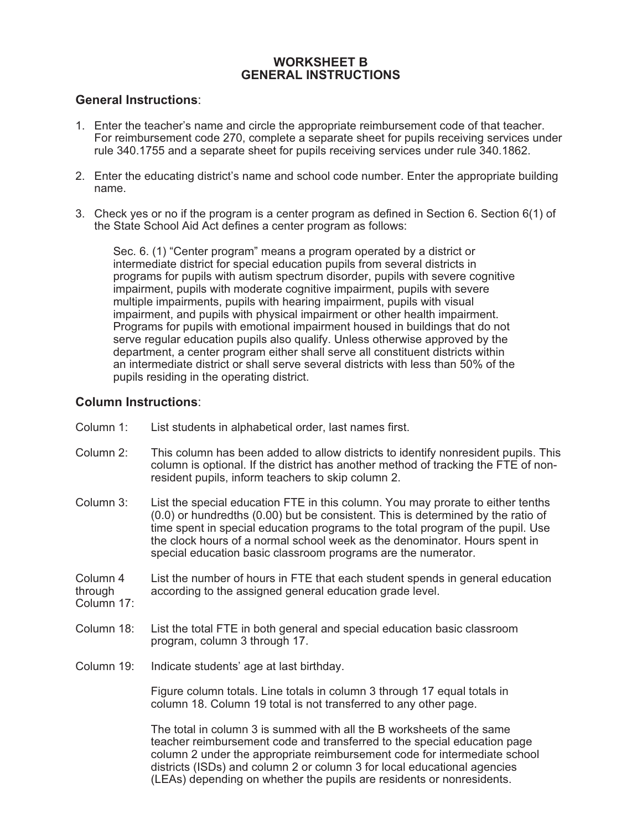# **WORKSHEET B GENERAL INSTRUCTIONS**

### **General Instructions**:

- 1. Enter the teacher's name and circle the appropriate reimbursement code of that teacher. For reimbursement code 270, complete a separate sheet for pupils receiving services under rule 340.1755 and a separate sheet for pupils receiving services under rule 340.1862.
- 2. Enter the educating district's name and school code number. Enter the appropriate building name.
- 3. Check yes or no if the program is a center program as defined in Section 6. Section 6(1) of the State School Aid Act defines a center program as follows:

Sec. 6. (1) "Center program" means a program operated by a district or intermediate district for special education pupils from several districts in programs for pupils with autism spectrum disorder, pupils with severe cognitive impairment, pupils with moderate cognitive impairment, pupils with severe multiple impairments, pupils with hearing impairment, pupils with visual impairment, and pupils with physical impairment or other health impairment. Programs for pupils with emotional impairment housed in buildings that do not serve regular education pupils also qualify. Unless otherwise approved by the department, a center program either shall serve all constituent districts within an intermediate district or shall serve several districts with less than 50% of the pupils residing in the operating district.

### **Column Instructions**:

- Column 1: List students in alphabetical order, last names first.
- Column 2: This column has been added to allow districts to identify nonresident pupils. This column is optional. If the district has another method of tracking the FTE of nonresident pupils, inform teachers to skip column 2.
- Column 3: List the special education FTE in this column. You may prorate to either tenths (0.0) or hundredths (0.00) but be consistent. This is determined by the ratio of time spent in special education programs to the total program of the pupil. Use the clock hours of a normal school week as the denominator. Hours spent in special education basic classroom programs are the numerator.

Column 4 List the number of hours in FTE that each student spends in general education through according to the assigned general education grade level. according to the assigned general education grade level.

- Column 17:
- Column 18: List the total FTE in both general and special education basic classroom program, column 3 through 17.
- Column 19: Indicate students' age at last birthday.

Figure column totals. Line totals in column 3 through 17 equal totals in column 18. Column 19 total is not transferred to any other page.

The total in column 3 is summed with all the B worksheets of the same teacher reimbursement code and transferred to the special education page column 2 under the appropriate reimbursement code for intermediate school districts (ISDs) and column 2 or column 3 for local educational agencies (LEAs) depending on whether the pupils are residents or nonresidents.